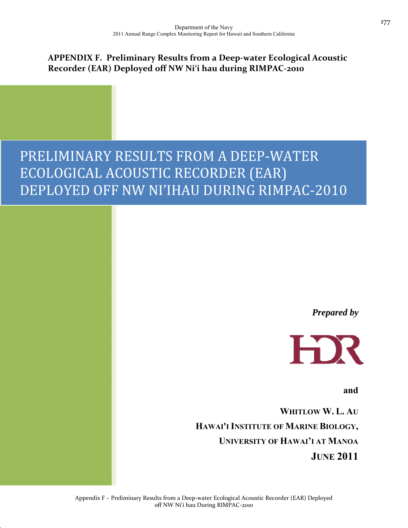### **APPENDIX F. Preliminary Results from a Deep‐water Ecological Acoustic Recorder (EAR) Deployed off NW Ni'i hau during RIMPAC‐2010**

# PRELIMINARY RESULTS FROM A DEEP‐WATER ECOLOGICAL ACOUSTIC RECORDER (EAR) DEPLOYED OFF NW NI'IHAU DURING RIMPAC‐2010

*Prepared by* 



**and** 

**WHITLOW W. L. AU HAWAI'I INSTITUTE OF MARINE BIOLOGY, UNIVERSITY OF HAWAI'I AT MANOA JUNE 2011**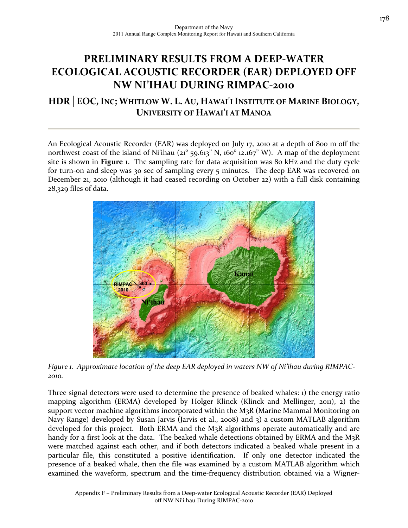## **PRELIMINARY RESULTS FROM A DEEP‐WATER ECOLOGICAL ACOUSTIC RECORDER (EAR) DEPLOYED OFF NW NI'IHAU DURING RIMPAC‐2010**

### **HDR│EOC,INC; WHITLOW W. L. AU, HAWAI'I INSTITUTE OF MARINE BIOLOGY, UNIVERSITY OF HAWAI'I AT MANOA**

An Ecological Acoustic Recorder (EAR) was deployed on July 17, 2010 at a depth of 800 m off the northwest coast of the island of Ni'ihau  $(21^{\circ}$  59.613" N, 160 $^{\circ}$  12.167" W). A map of the deployment site is shown in **Figure 1**. The sampling rate for data acquisition was 80 kHz and the duty cycle for turn-on and sleep was 30 sec of sampling every 5 minutes. The deep EAR was recovered on December 21, 2010 (although it had ceased recording on October 22) with a full disk containing 28,329 files of data.



*Figure 1. Approximate location of the deep EAR deployed in waters NW of Ni'ihau during RIMPAC‐ 2010.*

Three signal detectors were used to determine the presence of beaked whales: 1) the energy ratio mapping algorithm (ERMA) developed by Holger Klinck (Klinck and Mellinger, 2011), 2) the support vector machine algorithms incorporated within the M3R (Marine Mammal Monitoring on Navy Range) developed by Susan Jarvis (Jarvis et al., 2008) and 3) a custom MATLAB algorithm developed for this project. Both ERMA and the M3R algorithms operate automatically and are handy for a first look at the data. The beaked whale detections obtained by ERMA and the M<sub>3</sub>R were matched against each other, and if both detectors indicated a beaked whale present in a particular file, this constituted a positive identification. If only one detector indicated the presence of a beaked whale, then the file was examined by a custom MATLAB algorithm which examined the waveform, spectrum and the time-frequency distribution obtained via a Wigner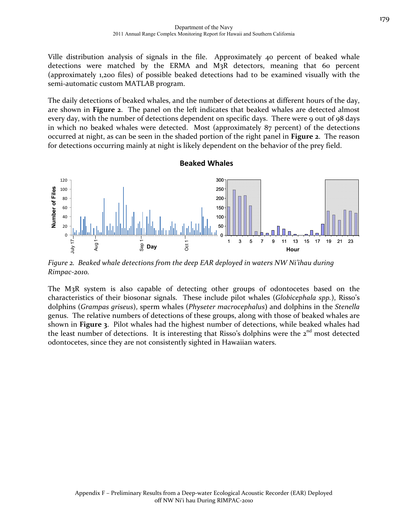Ville distribution analysis of signals in the file. Approximately 40 percent of beaked whale detections were matched by the ERMA and M3R detectors, meaning that 60 percent (approximately 1,200 files) of possible beaked detections had to be examined visually with the semi‐automatic custom MATLAB program.

The daily detections of beaked whales, and the number of detections at different hours of the day, are shown in **Figure 2**. The panel on the left indicates that beaked whales are detected almost every day, with the number of detections dependent on specific days. There were 9 out of 98 days in which no beaked whales were detected. Most (approximately 87 percent) of the detections occurred at night, as can be seen in the shaded portion of the right panel in **Figure 2**. The reason for detections occurring mainly at night is likely dependent on the behavior of the prey field.

**Beaked Whales**



*Figure 2. Beaked whale detections from the deep EAR deployed in waters NW Ni'ihau during Rimpac‐2010.*

The M3R system is also capable of detecting other groups of odontocetes based on the characteristics of their biosonar signals. These include pilot whales (*Globicephala spp.*), Risso's dolphins (*Grampas griseus*), sperm whales (*Physeter macrocephalus*) and dolphins in the *Stenella* genus. The relative numbers of detections of these groups, along with those of beaked whales are shown in **Figure 3**. Pilot whales had the highest number of detections, while beaked whales had the least number of detections. It is interesting that Risso's dolphins were the  $2<sup>nd</sup>$  most detected odontocetes, since they are not consistently sighted in Hawaiian waters.